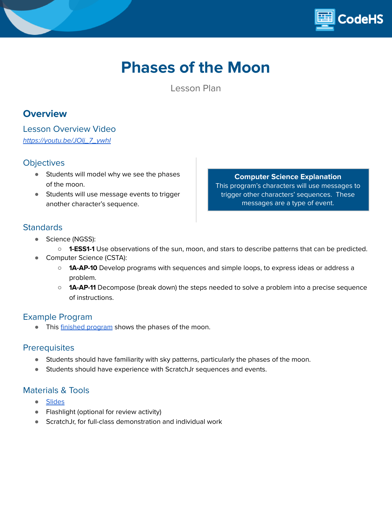

# **Phases of the Moon**

Lesson Plan

# **Overview**

Lesson Overview Video [https://youtu.be/JOlj\\_7\\_ywhI](https://youtu.be/JOlj_7_ywhI)

### **Objectives**

- Students will model why we see the phases of the moon.
- Students will use message events to trigger another character's sequence.

**Computer Science Explanation** This program's characters will use messages to trigger other characters' sequences. These messages are a type of event.

## **Standards**

- Science (NGSS):
	- **1-ESS1-1** Use observations of the sun, moon, and stars to describe patterns that can be predicted.
- Computer Science (CSTA):
	- **1A-AP-10** Develop programs with sequences and simple loops, to express ideas or address a problem.
	- **1A-AP-11** Decompose (break down) the steps needed to solve a problem into a precise sequence of instructions.

### Example Program

**•** This finished [program](https://drive.google.com/file/d/19kZ8BLnP9tlFh5pdcedpnn4qHPes5C7s/view?usp=sharing) shows the phases of the moon.

### **Prerequisites**

- Students should have familiarity with sky patterns, particularly the phases of the moon.
- Students should have experience with ScratchJr sequences and events.

### Materials & Tools

- [Slides](https://docs.google.com/presentation/d/1TXbpSfj_Vi-BDayWPXnRFjb_yWATubbsfIL4JeTQKIM/edit?usp=sharing)
- Flashlight (optional for review activity)
- ScratchJr, for full-class demonstration and individual work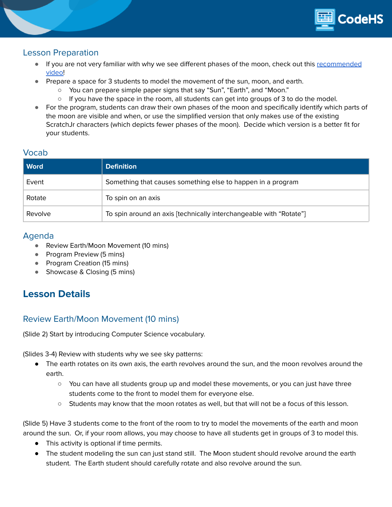

### Lesson Preparation

- If you are not very familiar with why we see different phases of the moon, check out this [recommended](https://www.youtube.com/watch?v=LHD4Pk0D8_g) [video!](https://www.youtube.com/watch?v=LHD4Pk0D8_g)
- Prepare a space for 3 students to model the movement of the sun, moon, and earth.
	- You can prepare simple paper signs that say "Sun", "Earth", and "Moon."
	- $\circ$  If you have the space in the room, all students can get into groups of 3 to do the model.
- For the program, students can draw their own phases of the moon and specifically identify which parts of the moon are visible and when, or use the simplified version that only makes use of the existing ScratchJr characters (which depicts fewer phases of the moon). Decide which version is a better fit for your students.

### Vocab

| <b>Word</b> | <b>Definition</b>                                                  |  |
|-------------|--------------------------------------------------------------------|--|
| Event       | Something that causes something else to happen in a program        |  |
| Rotate      | To spin on an axis                                                 |  |
| Revolve     | To spin around an axis [technically interchangeable with "Rotate"] |  |

### Agenda

- Review Earth/Moon Movement (10 mins)
- Program Preview (5 mins)
- Program Creation (15 mins)
- Showcase & Closing (5 mins)

# **Lesson Details**

## Review Earth/Moon Movement (10 mins)

(Slide 2) Start by introducing Computer Science vocabulary.

(Slides 3-4) Review with students why we see sky patterns:

- The earth rotates on its own axis, the earth revolves around the sun, and the moon revolves around the earth.
	- You can have all students group up and model these movements, or you can just have three students come to the front to model them for everyone else.
	- Students may know that the moon rotates as well, but that will not be a focus of this lesson.

(Slide 5) Have 3 students come to the front of the room to try to model the movements of the earth and moon around the sun. Or, if your room allows, you may choose to have all students get in groups of 3 to model this.

- This activity is optional if time permits.
- The student modeling the sun can just stand still. The Moon student should revolve around the earth student. The Earth student should carefully rotate and also revolve around the sun.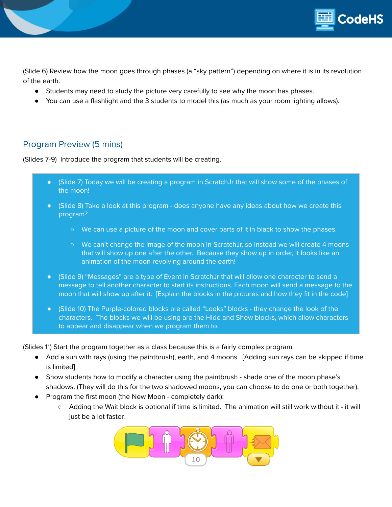

(Slide 6) Review how the moon goes through phases (a "sky pattern") depending on where it is in its revolution of the earth.

- Students may need to study the picture very carefully to see why the moon has phases.
- You can use a flashlight and the 3 students to model this (as much as your room lighting allows).

## Program Preview (5 mins)

(Slides 7-9) Introduce the program that students will be creating.

- (Slide 7) Today we will be creating a program in ScratchJr that will show some of the phases of the moon!
- (Slide 8) Take a look at this program does anyone have any ideas about how we create this program?
	- We can use a picture of the moon and cover parts of it in black to show the phases.
	- We can't change the image of the moon in ScratchJr, so instead we will create 4 moons that will show up one after the other. Because they show up in order, it looks like an animation of the moon revolving around the earth!
- (Slide 9) "Messages" are a type of Event in ScratchJr that will allow one character to send a message to tell another character to start its instructions. Each moon will send a message to the moon that will show up after it. [Explain the blocks in the pictures and how they fit in the code]
- (Slide 10) The Purple-colored blocks are called "Looks" blocks they change the look of the characters. The blocks we will be using are the Hide and Show blocks, which allow characters to appear and disappear when we program them to.

(Slides 11) Start the program together as a class because this is a fairly complex program:

- Add a sun with rays (using the paintbrush), earth, and 4 moons. [Adding sun rays can be skipped if time is limited]
- Show students how to modify a character using the paintbrush shade one of the moon phase's shadows. (They will do this for the two shadowed moons, you can choose to do one or both together).
- Program the first moon (the New Moon completely dark):
	- Adding the Wait block is optional if time is limited. The animation will still work without it it will just be a lot faster.

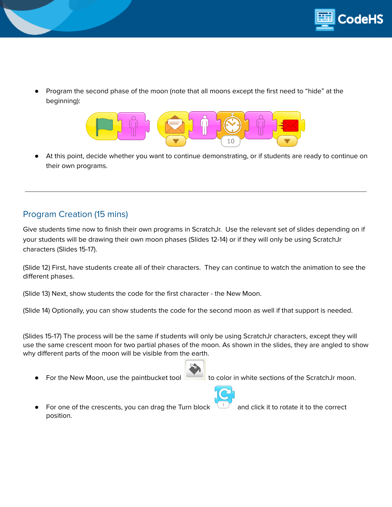

Program the second phase of the moon (note that all moons except the first need to "hide" at the beginning):



At this point, decide whether you want to continue demonstrating, or if students are ready to continue on their own programs.

# Program Creation (15 mins)

Give students time now to finish their own programs in ScratchJr. Use the relevant set of slides depending on if your students will be drawing their own moon phases (Slides 12-14) or if they will only be using ScratchJr characters (Slides 15-17).

(Slide 12) First, have students create all of their characters. They can continue to watch the animation to see the different phases.

(Slide 13) Next, show students the code for the first character - the New Moon.

(Slide 14) Optionally, you can show students the code for the second moon as well if that support is needed.

(Slides 15-17) The process will be the same if students will only be using ScratchJr characters, except they will use the same crescent moon for two partial phases of the moon. As shown in the slides, they are angled to show why different parts of the moon will be visible from the earth.



For the New Moon, use the paintbucket tool to color in white sections of the ScratchJr moon.

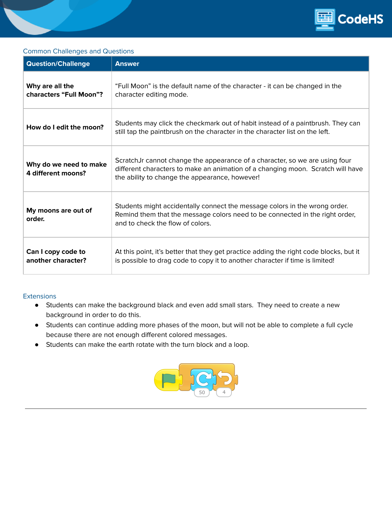

### Common Challenges and Questions

| <b>Question/Challenge</b>                    | <b>Answer</b>                                                                                                                                                                                                    |  |  |
|----------------------------------------------|------------------------------------------------------------------------------------------------------------------------------------------------------------------------------------------------------------------|--|--|
| Why are all the<br>characters "Full Moon"?   | "Full Moon" is the default name of the character - it can be changed in the<br>character editing mode.                                                                                                           |  |  |
| How do I edit the moon?                      | Students may click the checkmark out of habit instead of a paintbrush. They can<br>still tap the paintbrush on the character in the character list on the left.                                                  |  |  |
| Why do we need to make<br>4 different moons? | ScratchJr cannot change the appearance of a character, so we are using four<br>different characters to make an animation of a changing moon. Scratch will have<br>the ability to change the appearance, however! |  |  |
| My moons are out of<br>order.                | Students might accidentally connect the message colors in the wrong order.<br>Remind them that the message colors need to be connected in the right order,<br>and to check the flow of colors.                   |  |  |
| Can I copy code to<br>another character?     | At this point, it's better that they get practice adding the right code blocks, but it<br>is possible to drag code to copy it to another character if time is limited!                                           |  |  |

#### **Extensions**

- Students can make the background black and even add small stars. They need to create a new background in order to do this.
- Students can continue adding more phases of the moon, but will not be able to complete a full cycle because there are not enough different colored messages.
- Students can make the earth rotate with the turn block and a loop.